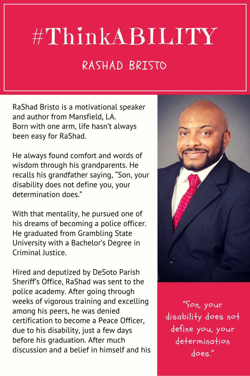## #ThinkABILITY RASHAD BRISTO

RaShad Bristo is a motivational speaker and author from Mansfield, LA. Born with one arm, life hasn't always been easy for RaShad.

He always found comfort and words of wisdom through his grandparents. He recalls his grandfather saying, "Son, your disability does not define you, your determination does."

With that mentality, he pursued one of his dreams of becoming a police officer. He graduated from Grambling State University with a Bachelor's Degree in Criminal Justice.

Hired and deputized by DeSoto Parish Sheriff's Office, RaShad was sent to the police academy. After going through weeks of vigorous training and excelling among his peers, he was denied certification to become a Peace Officer, due to his disability, just a few days before his graduation. After much discussion and a belief in himself and his



"Son, your disability does not define you, your determination does."